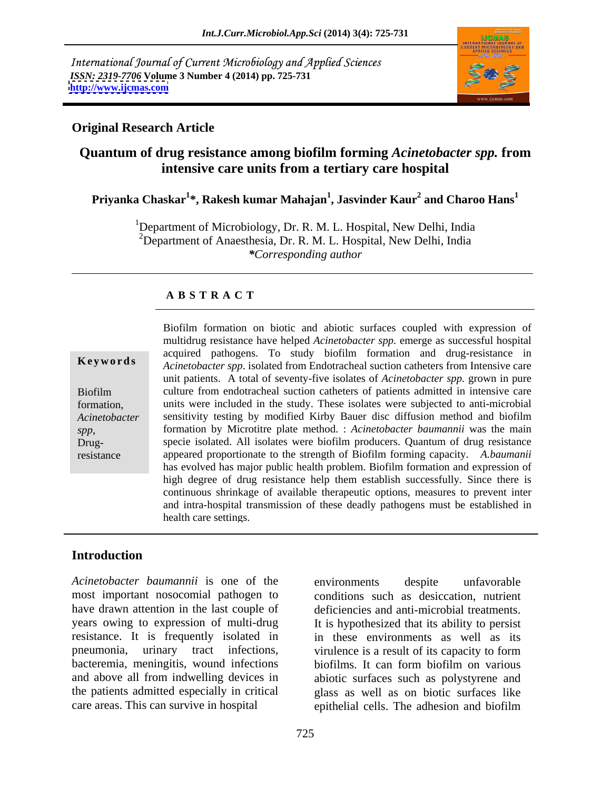International Journal of Current Microbiology and Applied Sciences *ISSN: 2319-7706* **Volume 3 Number 4 (2014) pp. 725-731 <http://www.ijcmas.com>**



## **Original Research Article**

# **Quantum of drug resistance among biofilm forming** *Acinetobacter spp.* **from intensive care units from a tertiary care hospital**

### **Priyanka Chaskar<sup>1</sup> \*, Rakesh kumar Mahajan<sup>1</sup> , Jasvinder Kaur<sup>2</sup> and Charoo Hans<sup>1</sup>**

<sup>1</sup>Department of Microbiology, Dr. R. M. L. Hospital, New Delhi, India <sup>2</sup>Department of Anaesthesia, Dr. R. M. L. Hospital, New Delhi, India *\*Corresponding author*

### **A B S T R A C T**

*spp*, Drug-

**Keywords** *Acinetobacter spp*. isolated from Endotracheal suction catheters from Intensive care Biofilm culture from endotracheal suction catheters of patients admitted in intensive care formation, units were included in the study. These isolates were subjected to anti-microbial *Acinetobacter*  sensitivity testing by modified Kirby Bauer disc diffusion method and biofilm resistance appeared proportionate to the strength of Biofilm forming capacity. *A.baumanii*  Biofilm formation on biotic and abiotic surfaces coupled with expression of multidrug resistance have helped *Acinetobacter spp.* emerge as successful hospital acquired pathogens. To study biofilm formation and drug-resistance in unit patients. A total of seventy-five isolates of *Acinetobacter spp.* grown in pure formation by Microtitre plate method. : *Acinetobacter baumannii* was the main specie isolated. All isolates were biofilm producers. Quantum of drug resistance has evolved has major public health problem. Biofilm formation and expression of high degree of drug resistance help them establish successfully. Since there is continuous shrinkage of available therapeutic options, measures to prevent inter and intra-hospital transmission of these deadly pathogens must be established in health care settings.

# **Introduction**

*Acinetobacter baumannii* is one of the most important nosocomial pathogen to conditions such as desiccation, nutrient have drawn attention in the last couple of deficiencies and anti-microbial treatments. years owing to expression of multi-drug resistance. It is frequently isolated in in these environments as well as its pneumonia, urinary tract infections, virulence is a result of its capacity to form bacteremia, meningitis, wound infections biofilms. It can form biofilm on various and above all from indwelling devices in abiotic surfaces such as polystyrene and the patients admitted especially in critical glass as well as on biotic surfaces like

care areas. This can survive in hospital epithelial cells. The adhesion and biofilm environments despite unfavorable deficiencies and anti-microbial treatments.<br>It is hypothesized that its ability to persist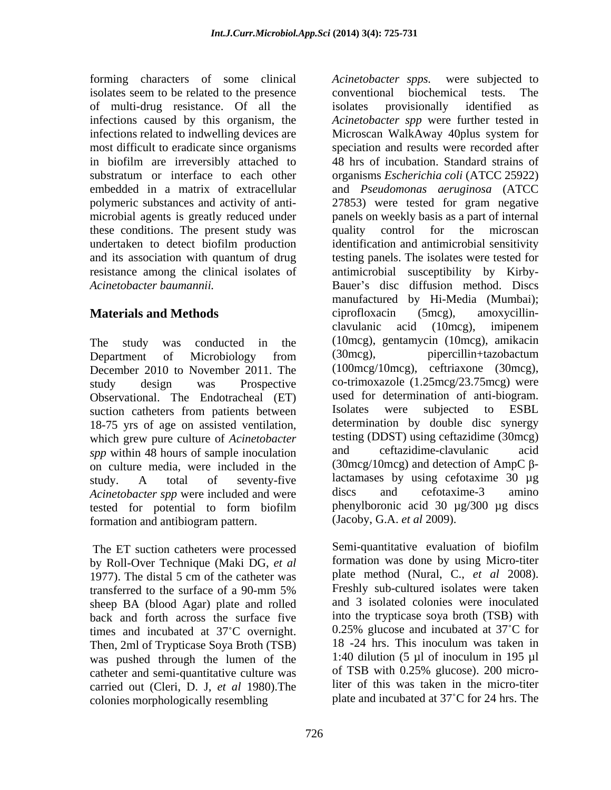forming characters of some clinical Acinetobacter spps. were subjected to isolates seem to be related to the presence conventional biochemical tests. The of multi-drug resistance. Of all the infections related to indwelling devices are Microscan WalkAway 40plus system for these conditions. The present study was quality control for the microscan

December 2010 to November 2011. The Observational. The Endotracheal (ET) used for determination of anti-biogram.<br>suction catheters from patients between Isolates were subjected to ESBL suction catheters from patients between 18-75 yrs of age on assisted ventilation, which grew pure culture of *Acinetobacter* testing (DDST) using ceftazidime (30mcg)<br>spp within 48 hours of sample inoculation and ceftazidime-clavulanic acid *spp* within 48 hours of sample inoculation on culture media, were included in the *Acinetobacter spp* were included and were discs and cefotaxime-3 amino formation and antibiogram pattern.

by Roll-Over Technique (Maki DG, *et al* 1977). The distal 5 cm of the catheter was sheep BA (blood Agar) plate and rolled back and forth across the surface five into the trypticase soya broth (TSB) with<br>times and incubated at  $37^{\circ}$ C overnight 0.25% glucose and incubated at  $37^{\circ}$ C for times and incubated at  $37^{\circ}$ C overnight.  $0.25\%$  glucose and incubated at  $37^{\circ}$ C for Then 2ml of Trypticase Sova Broth (TSB)  $18 - 24$  hrs. This inoculum was taken in Then, 2ml of Trypticase Soya Broth (TSB) was pushed through the lumen of the  $1:40$  dilution (5  $\mu$ l of inoculum in 195  $\mu$ l catheter and semi-quantitative culture was of TSB with 0.25% glucose). 200 microcatheter and semi-quantitative culture was carried out (Cleri, D. J, *et al* 1980).The colonies morphologically resembling

infections caused by this organism, the *Acinetobacter spp* were further tested in most difficult to eradicate since organisms speciation and results were recorded after in biofilm are irreversibly attached to 48 hrs of incubation. Standard strains of substratum or interface to each other organisms *Escherichia coli* (ATCC 25922) embedded in a matrix of extracellular and *Pseudomonas aeruginosa* (ATCC polymeric substances and activity of anti- 27853) were tested for gram negative microbial agents is greatly reduced under panels on weekly basis as a part of internal undertaken to detect biofilm production and its association with quantum of drug testing panels. The isolates were tested for resistance among the clinical isolates of antimicrobial susceptibility by Kirby- Acinetobacter baumannii. The second of Bauer's disc diffusion method. Discs **Materials and Methods Conserversity Conserversity Conserversity Conserversity Conserversity Conserversity Conserversity Conserversity Conserversity Conserversity Conserversity Conserversity Conse** The study was conducted in the (10mcg), gentamycin (10mcg), amikacin Department of Microbiology from (30mcg), pipercillin+tazobactum study design was Prospective co-trimoxazole (1.25mcg/23.75mcg) were study. A total of seventy-five lactamases by using cefotaxime 30 µg tested for potential to form biofilm phenylboronic acid 30 µg/300 µg discs *Acinetobacter spps.* were subjected to conventional biochemical tests. The isolates provisionally identified as Microscan WalkAway 40plus system for quality control for the identification and antimicrobial sensitivity manufactured by Hi-Media (Mumbai); ciprofloxacin (5mcg), amoxycillin clavulanic acid (10mcg), imipenem (30mcg), pipercillin+tazobactum (100mcg/10mcg), ceftriaxone (30mcg), used for determination of anti-biogram. Isolates were subjected to ESBL determination by double disc synergy testing (DDST) using ceftazidime (30mcg) and ceftazidime-clavulanic acid (30mcg/10mcg) and detection of AmpC  $\beta$ lactamases by using cefotaxime 30 µg discs and cefotaxime-3 amino phenylboronic acid 30 µg/300 µg discs (Jacoby, G.A. *et al* 2009).

The ET suction catheters were processed Semi-quantitative evaluation of biofilm transferred to the surface of a 90-mm 5% Freshly sub-cultured isolates were taken Semi-quantitative evaluation of biofilm formation was done by using Micro-titer plate method (Nural, C., *et al* 2008). Freshly sub-cultured isolates were taken and 3 isolated colonies were inoculated into the trypticase soya broth (TSB) with 0.25% glucose and incubated at  $37^{\circ}$ C for 18 -24 hrs. This inoculum was taken in 1:40 dilution (5 µl of inoculum in 195 µl of TSB with 0.25% glucose). 200 microliter of this was taken in the micro-titer plate and incubated at 37 C for 24 hrs. The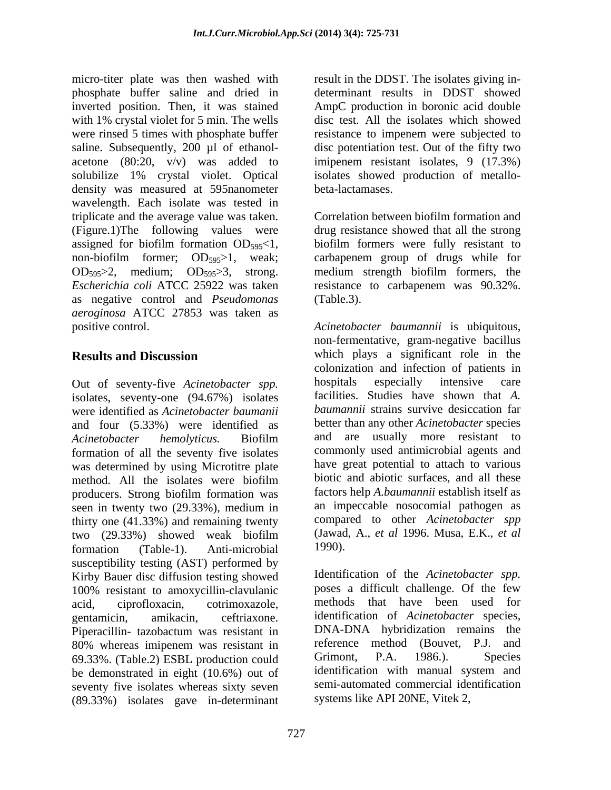micro-titer plate was then washed with result in the DDST. The isolates giving inphosphate buffer saline and dried in determinant results in DDST showed inverted position. Then, it was stained AmpC production in boronic acid double with 1% crystal violet for 5 min. The wells disc test. All the isolates which showed were rinsed 5 times with phosphate buffer resistance to impenem were subjected to saline. Subsequently, 200 µl of ethanolacetone  $(80:20, v/v)$  was added to solubilize 1% crystal violet. Optical solubilize 1% crystal violet. Optical isolates showed production of metallo density was measured at 595nanometer beta-lactamases. wavelength. Each isolate was tested in triplicate and the average value was taken. (Figure.1)The following values were assigned for biofilm formation  $OD_{595} < 1$ , biofilm formers were fully resistant to non-biofilm former;  $OD_{595} > 1$ , weak; carbapenem group of drugs while for  $OD_{595} > 2$ , medium;  $OD_{595} > 3$ , strong. medium strength biofilm formers, the *Escherichia coli* ATCC 25922 was taken resistance to carbapenem was 90.32%. as negative control and *Pseudomonas aeroginosa* ATCC 27853 was taken as positive control. *Acinetobacter baumannii* is ubiquitous,

isolates, seventy-one (94.67%) isolates were identified as *Acinetobacter baumanii* and four  $(5.33\%)$  were identified as Acinetobacter hemolyticus. Biofilm and are usually more resistant to formation of all the seventy five isolates was determined by using Microtitre plate method. All the isolates were biofilm biotic and abiotic surfaces, and all these producers. Strong biofilm formation was seen in twenty two (29.33%), medium in thirty one (41.33%) and remaining twenty two (29.33%) showed weak biofilm (Jawad, A., *et al* 1996. Musa, E.K., *et al* formation (Table-1). Anti-microbial 1990). susceptibility testing (AST) performed by Kirby Bauer disc diffusion testing showed 100% resistant to amoxycillin-clavulanic acid, ciprofloxacin, cotrimoxazole, methods that have been used for gentamicin, amikacin, ceftriaxone. identification of *Acinetobacter* species, Piperacillin- tazobactum was resistant in DNA-DNA hybridization remains the 80% whereas imipenem was resistant in a reference method (Bouvet, P.J. and 69.33% (Table 2) ESBL production could Grimont, P.A. 1986.). Species 69.33%. (Table.2) ESBL production could<br>
the demonstrated in eight (10.6%) out of identification with manual system and be demonstrated in eight (10.6%) out of seventy five isolates whereas sixty seven (89.33%) isolates gave in-determinant

disc potentiation test. Out of the fifty two imipenem resistant isolates, 9 (17.3%) beta-lactamases.

Correlation between biofilm formation and drug resistance showed that all the strong biofilm formers were fully resistant to (Table.3).

**Results and Discussion** which plays a significant role in the Out of seventy-five *Acinetobacter spp.* non-fermentative, gram-negative bacillus colonization and infection of patients in hospitals especially intensive care facilities. Studies have shown that *A. baumannii* strains survive desiccation far better than any other *Acinetobacter* species commonly used antimicrobial agents and have great potential to attach to various biotic and abiotic surfaces, and all these factors help *A.baumannii* establish itself as an impeccable nosocomial pathogen as compared to other *Acinetobacter spp* (Jawad, A., *et al* 1996. Musa, E.K., *et al* 1990).

> Identification of the *Acinetobacter spp.* poses a difficult challenge. Of the few DNA-DNA hybridization remains the reference method (Bouvet, P.J. and Grimont, P.A. 1986.). Species identification with manual system and semi-automated commercial identification systems like API 20NE, Vitek 2,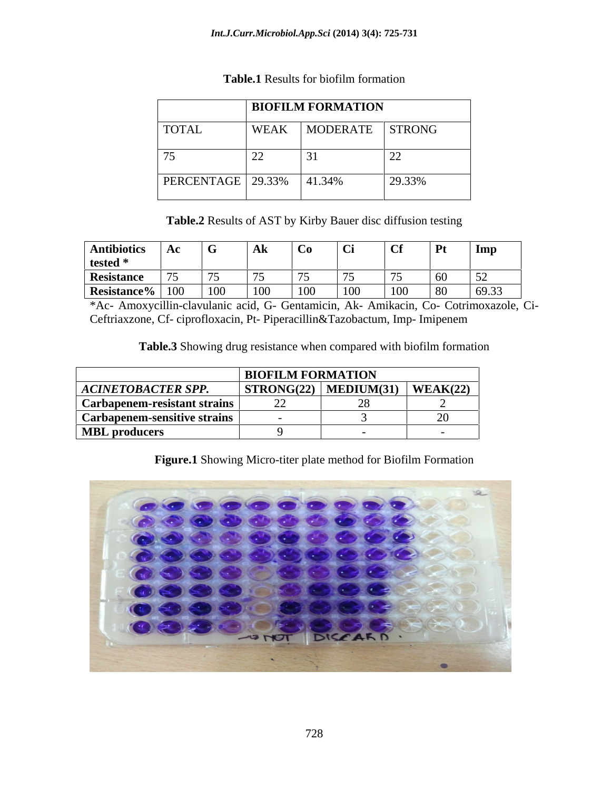|                                       | BIOFILM FORMATION |                 |        |
|---------------------------------------|-------------------|-----------------|--------|
| <b>TOTAL</b>                          | <b>WEAK</b>       | MODERATE STRONG |        |
| $ -$                                  | $\sim$            |                 | $\sim$ |
| $\overline{\text{PERCENTAGE}}$ 29.33% |                   | 41.34%          | 29.33% |

### **Table.1** Results for biofilm formation

**Table.2** Results of AST by Kirby Bauer disc diffusion testing

| Antibiotics   Ac   C  |  | l Alz | $\Box$ $Ca$ | $\overline{\text{C}}$ i |  | l Imn |
|-----------------------|--|-------|-------------|-------------------------|--|-------|
| tested $*$            |  |       |             |                         |  |       |
| Resistance            |  |       |             |                         |  |       |
| Resistance $\%$   100 |  |       |             | 100                     |  | 6933  |

\*Ac- Amoxycillin-clavulanic acid, G- Gentamicin, Ak- Amikacin, Co- Cotrimoxazole, Ci- Ceftriaxzone, Cf- ciprofloxacin, Pt- Piperacillin&Tazobactum, Imp- Imipenem

**Table.3** Showing drug resistance when compared with biofilm formation

|                              | <b>BIOFILM FORMATION</b>   |            |          |
|------------------------------|----------------------------|------------|----------|
| <b>ACINETOBACTER SPP.</b>    | $\vert$ STRONG(22) $\vert$ | MEDIUM(31) | WEAK(22) |
| Carbapenem-resistant strains | $\overline{\phantom{m}}$   |            |          |
| Carbapenem-sensitive strains |                            |            | . .      |
| <b>MBL</b> producers         |                            |            |          |

# **Figure.1** Showing Micro-titer plate method for Biofilm Formation

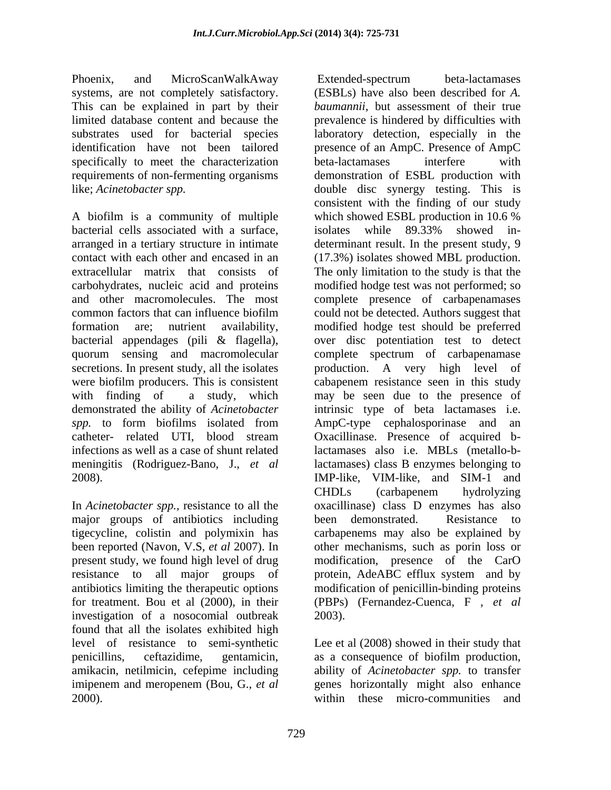Phoenix, and MicroScanWalkAway Extended-spectrum beta-lactamases systems, are not completely satisfactory. This can be explained in part by their specifically to meet the characterization beta-lactamases interfere with requirements of non-fermenting organisms

A biofilm is a community of multiple which showed ESBL production in 10.6 % bacterial cells associated with a surface, secretions. In present study, all the isolates production. A very high level of meningitis (Rodriguez-Bano, J., *et al*

In *Acinetobacter spp.,* resistance to all the major groups of antibiotics including been demonstrated. Resistance to for treatment. Bou et al (2000), in their (PBPs) (Fernandez-Cuenca, F, et al investigation of a nosocomial outbreak 2003). found that all the isolates exhibited high level of resistance to semi-synthetic Lee et al (2008) showed in their study that penicillins, ceftazidime, gentamicin, as a consequence of biofilm production, amikacin, netilmicin, cefepime including ability of *Acinetobacter spp.* to transfer imipenem and meropenem (Bou, G., *et al* genes horizontally might also enhance 2000). within these micro-communities and

limited database content and because the prevalence is hindered by difficulties with substrates used for bacterial species laboratory detection, especially in the identification have not been tailored presence of an AmpC. Presence of AmpC like; *Acinetobacter spp.* double disc synergy testing. This is arranged in a tertiary structure in intimate determinant result. In the present study, 9 contact with each other and encased in an (17.3%) isolates showed MBL production. extracellular matrix that consists of The only limitation to the study is that the carbohydrates, nucleic acid and proteins modified hodge test was not performed; so and other macromolecules. The most complete presence of carbapenamases common factors that can influence biofilm could not be detected. Authors suggest that formation are; nutrient availability, modified hodge test should be preferred bacterial appendages (pili & flagella), over disc potentiation test to detect quorum sensing and macromolecular complete spectrum of carbapenamase were biofilm producers. This is consistent cabapenem resistance seen in this study with finding of a study, which may be seen due to the presence of demonstrated the ability of *Acinetobacter* intrinsic type of beta lactamases i.e. *spp.* to form biofilms isolated from AmpC-type cephalosporinase and an catheter- related UTI, blood stream Oxacillinase. Presence of acquired binfections as well as a case of shunt related lactamases also i.e. MBLs (metallo-b-2008). IMP-like, VIM-like, and SIM-1 and tigecycline, colistin and polymixin has carbapenems may also be explained by been reported (Navon, V.S, *et al* 2007). In other mechanisms, such as porin loss or present study, we found high level of drug modification, presence of the CarO resistance to all major groups of protein, AdeABC efflux system and by antibiotics limiting the therapeutic options modification of penicillin-binding proteins Extended-spectrum beta-lactamases (ESBLs) have also been described for *A. baumannii*, but assessment of their true beta-lactamases interfere with demonstration of ESBL production with consistent with the finding of our study which showed ESBL production in 10.6 % isolates while 89.33% showed in production. A very high level lactamases) class B enzymes belonging to CHDLs (carbapenem hydrolyzing oxacillinase) class D enzymes has also been demonstrated. Resistance to (PBPs) (Fernandez-Cuenca, <sup>F</sup> , *et al* 2003).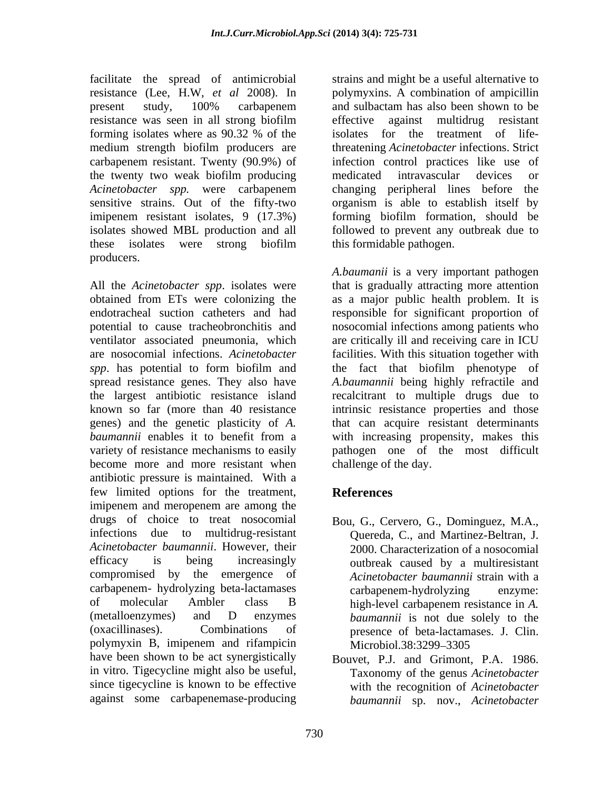facilitate the spread of antimicrobial resistance (Lee, H.W, *et al* 2008).In the twenty two weak biofilm producing medicated intravascular devices or producers.

become more and more resistant when antibiotic pressure is maintained. With a few limited options for the treatment, References imipenem and meropenem are among the drugs of choice to treat nosocomial Bou, G., Cervero, G., Dominguez, M.A., infections due to multidrug-resistant Quereda, C., and Martinez-Beltran, J. *Acinetobacter baumannii*. However, their efficacy is being increasingly outbreak caused by a multiresistant compromised by the emergence of carbapenem- hydrolyzing beta-lactamases of molecular Ambler class B (metalloenzymes) and D enzymes *baumannii* is not due solely to the (oxacillinases). Combinations of presence of beta-lactamases. J. Clin. polymyxin B, imipenem and rifampicin have been shown to be act synergistically Bouvet, P.J. and Grimont, P.A. 1986. in vitro. Tigecycline might also be useful, since tigecycline is known to be effective with the recognition of *Acinetobacter*  against some carbapenemase-producing

present study, 100% carbapenem and sulbactam has also been shown to be resistance was seen in all strong biofilm forming isolates where as 90.32 % of the isolates for the treatment of lifemedium strength biofilm producers are threatening *Acinetobacter* infections. Strict carbapenem resistant. Twenty (90.9%) of infection control practices like use of *Acinetobacter spp.* were carbapenem sensitive strains. Out of the fifty-two organism is able to establish itself by imipenem resistant isolates, 9 (17.3%) forming biofilm formation, should be isolates showed MBL production and all followed to prevent any outbreak due to these isolates were strong biofilm strains and might be a useful alternative to polymyxins. A combination of ampicillin and sulbactam has also been shown to be effective against multidrug resistant isolates for the treatment of lifemedicated intravascular devices or changing peripheral lines before the this formidable pathogen.

All the *Acinetobacter spp*. isolates were that is gradually attracting more attention obtained from ETs were colonizing the as a major public health problem. It is endotracheal suction catheters and had responsible for significant proportion of potential to cause tracheobronchitis and nosocomial infections among patients who ventilator associated pneumonia, which are critically ill and receiving care in ICU are nosocomial infections.*Acinetobacter*  facilities. With this situation together with *spp*. has potential to form biofilm and the fact that biofilm phenotype of spread resistance genes. They also have *A.baumannii* being highly refractile and the largest antibiotic resistance island recalcitrant to multiple drugs due to known so far (more than 40 resistance intrinsic resistance properties and those genes) and the genetic plasticity of *A.*  that can acquire resistant determinants *baumannii* enables it to benefit from a with increasing propensity, makes this variety of resistance mechanisms to easily pathogen one of the most difficult *A.baumanii* is a very important pathogen challenge of the day.

# **References**

- Bou, G., Cervero, G., Dominguez, M.A., Quereda, C., and Martinez-Beltran, J. 2000. Characterization of a nosocomial *Acinetobacter baumannii* strain with a carbapenem-hydrolyzing enzyme: high-level carbapenem resistance in *A.*  Microbiol.38:3299–3305
- Taxonomy of the genus *Acinetobacter baumannii* sp. nov., *Acinetobacter*